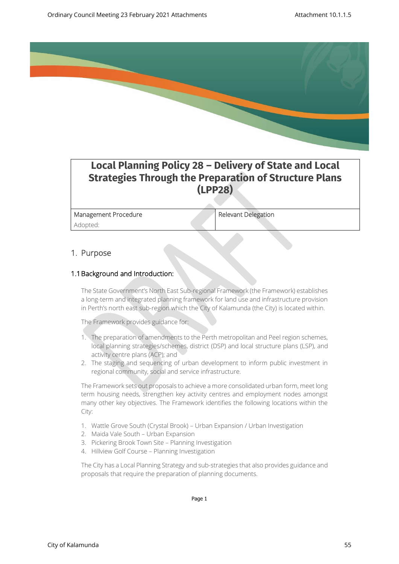

## **Local Planning Policy 28 – Delivery of State and Local Strategies Through the Preparation of Structure Plans (LPP28)**

Management Procedure Relevant Delegation Adopted:

## 1. Purpose

#### 1.1Background and Introduction:

The State Government's North East Sub-regional Framework (the Framework) establishes a long-term and integrated planning framework for land use and infrastructure provision in Perth's north east sub-region which the City of Kalamunda (the City) is located within.

The Framework provides guidance for:

- 1. The preparation of amendments to the Perth metropolitan and Peel region schemes, local planning strategies/schemes, district (DSP) and local structure plans (LSP), and activity centre plans (ACP); and
- 2. The staging and sequencing of urban development to inform public investment in regional community, social and service infrastructure.

The Framework sets out proposals to achieve a more consolidated urban form, meet long term housing needs, strengthen key activity centres and employment nodes amongst many other key objectives. The Framework identifies the following locations within the City:

- 1. Wattle Grove South (Crystal Brook) Urban Expansion / Urban Investigation
- 2. Maida Vale South Urban Expansion
- 3. Pickering Brook Town Site Planning Investigation
- 4. Hillview Golf Course Planning Investigation

The City has a Local Planning Strategy and sub-strategies that also provides guidance and proposals that require the preparation of planning documents.

Page 1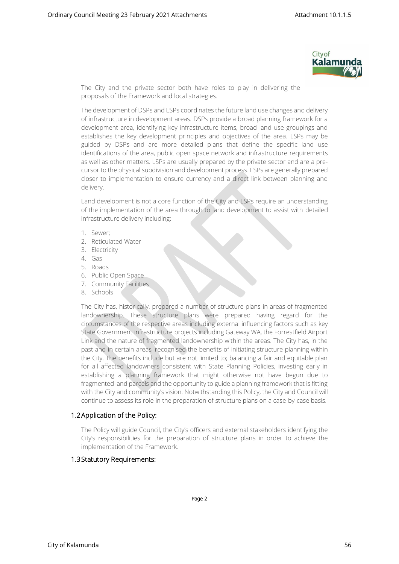

The City and the private sector both have roles to play in delivering the proposals of the Framework and local strategies.

The development of DSPs and LSPs coordinates the future land use changes and delivery of infrastructure in development areas. DSPs provide a broad planning framework for a development area, identifying key infrastructure items, broad land use groupings and establishes the key development principles and objectives of the area. LSPs may be guided by DSPs and are more detailed plans that define the specific land use identifications of the area, public open space network and infrastructure requirements as well as other matters. LSPs are usually prepared by the private sector and are a precursor to the physical subdivision and development process. LSPs are generally prepared closer to implementation to ensure currency and a direct link between planning and delivery.

Land development is not a core function of the City and LSPs require an understanding of the implementation of the area through to land development to assist with detailed infrastructure delivery including:

- 1. Sewer;
- 2. Reticulated Water
- 3. Electricity
- 4. Gas
- 5. Roads
- 6. Public Open Space
- 7. Community Facilities
- 8. Schools

The City has, historically, prepared a number of structure plans in areas of fragmented landownership. These structure plans were prepared having regard for the circumstances of the respective areas including external influencing factors such as key State Government infrastructure projects including Gateway WA, the Forrestfield Airport Link and the nature of fragmented landownership within the areas. The City has, in the past and in certain areas, recognised the benefits of initiating structure planning within the City. The benefits include but are not limited to; balancing a fair and equitable plan for all affected landowners consistent with State Planning Policies, investing early in establishing a planning framework that might otherwise not have begun due to fragmented land parcels and the opportunity to guide a planning framework that is fitting with the City and community's vision. Notwithstanding this Policy, the City and Council will continue to assess its role in the preparation of structure plans on a case-by-case basis.

#### 1.2Application of the Policy:

The Policy will guide Council, the City's officers and external stakeholders identifying the City's responsibilities for the preparation of structure plans in order to achieve the implementation of the Framework.

#### 1.3Statutory Requirements: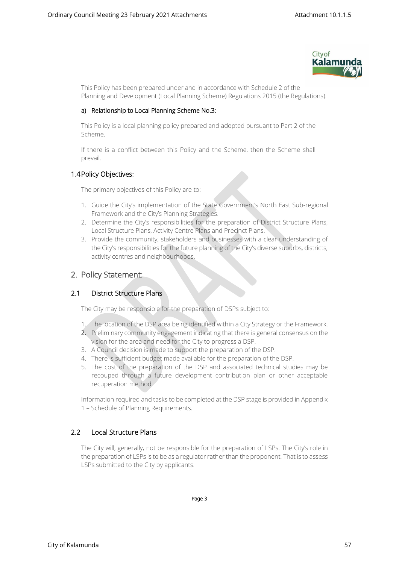

This Policy has been prepared under and in accordance with Schedule 2 of the Planning and Development (Local Planning Scheme) Regulations 2015 (the Regulations).

#### a) Relationship to Local Planning Scheme No.3:

This Policy is a local planning policy prepared and adopted pursuant to Part 2 of the Scheme.

If there is a conflict between this Policy and the Scheme, then the Scheme shall prevail.

### 1.4Policy Objectives:

The primary objectives of this Policy are to:

- 1. Guide the City's implementation of the State Government's North East Sub-regional Framework and the City's Planning Strategies.
- 2. Determine the City's responsibilities for the preparation of District Structure Plans, Local Structure Plans, Activity Centre Plans and Precinct Plans.
- 3. Provide the community, stakeholders and businesses with a clear understanding of the City's responsibilities for the future planning of the City's diverse suburbs, districts, activity centres and neighbourhoods.

## 2. Policy Statement:

## 2.1 District Structure Plans

The City may be responsible for the preparation of DSPs subject to:

- 1. The location of the DSP area being identified within a City Strategy or the Framework.
- 2. Preliminary community engagement indicating that there is general consensus on the vision for the area and need for the City to progress a DSP.
- 3. A Council decision is made to support the preparation of the DSP.
- 4. There is sufficient budget made available for the preparation of the DSP.
- 5. The cost of the preparation of the DSP and associated technical studies may be recouped through a future development contribution plan or other acceptable recuperation method.

Information required and tasks to be completed at the DSP stage is provided in Appendix 1 – Schedule of Planning Requirements.

#### 2.2 Local Structure Plans

The City will, generally, not be responsible for the preparation of LSPs. The City's role in the preparation of LSPs is to be as a regulator rather than the proponent. That is to assess LSPs submitted to the City by applicants.

Page 3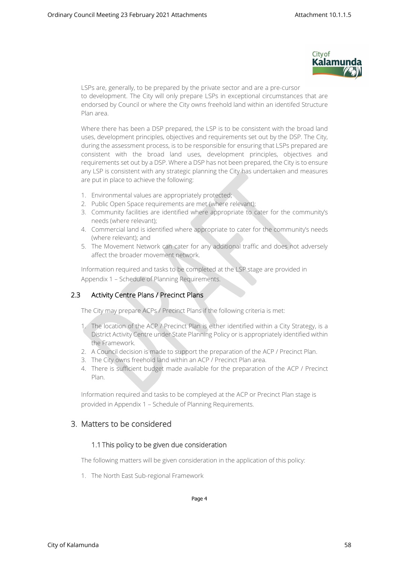

LSPs are, generally, to be prepared by the private sector and are a pre-cursor to development. The City will only prepare LSPs in exceptional circumstances that are endorsed by Council or where the City owns freehold land within an identifed Structure Plan area.

Where there has been a DSP prepared, the LSP is to be consistent with the broad land uses, development principles, objectives and requirements set out by the DSP. The City, during the assessment process, is to be responsible for ensuring that LSPs prepared are consistent with the broad land uses, development principles, objectives and requirements set out by a DSP. Where a DSP has not been prepared, the City is to ensure any LSP is consistent with any strategic planning the City has undertaken and measures are put in place to achieve the following:

- 1. Environmental values are appropriately protected;
- 2. Public Open Space requirements are met (where relevant);
- 3. Community facilities are identified where appropriate to cater for the community's needs (where relevant);
- 4. Commercial land is identified where appropriate to cater for the community's needs (where relevant); and
- 5. The Movement Network can cater for any additional traffic and does not adversely affect the broader movement network.

Information required and tasks to be completed at the LSP stage are provided in Appendix 1 – Schedule of Planning Requirements.

## 2.3 Activity Centre Plans / Precinct Plans

The City may prepare ACPs / Precinct Plans if the following criteria is met:

- 1. The location of the ACP / Precinct Plan is either identified within a City Strategy, is a District Activity Centre under State Planning Policy or is appropriately identified within the Framework.
- 2. A Council decision is made to support the preparation of the ACP / Precinct Plan.
- 3. The City owns freehold land within an ACP / Precinct Plan area.
- 4. There is sufficient budget made available for the preparation of the ACP / Precinct Plan.

Information required and tasks to be compleyed at the ACP or Precinct Plan stage is provided in Appendix 1 – Schedule of Planning Requirements.

## 3. Matters to be considered

#### 1.1 This policy to be given due consideration

The following matters will be given consideration in the application of this policy:

1. The North East Sub-regional Framework

Page 4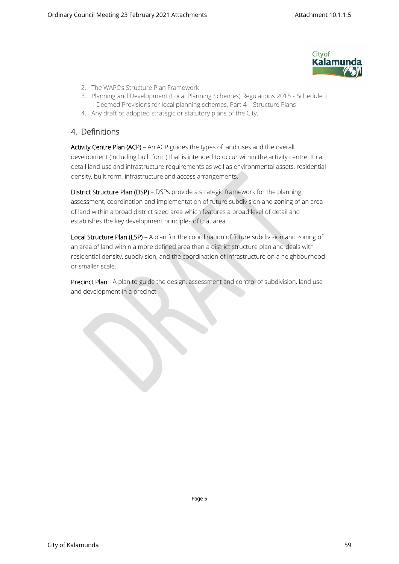

- 2. The WAPC's Structure Plan Framework
- 3. Planning and Development (Local Planning Schemes) Regulations 2015 Schedule 2 – Deemed Provisions for local planning schemes, Part 4 – Structure Plans
- 4. Any draft or adopted strategic or statutory plans of the City.

## 4. Definitions

Activity Centre Plan (ACP) – An ACP guides the types of land uses and the overall development (including built form) that is intended to occur within the activity centre. It can detail land use and infrastructure requirements as well as environmental assets, residential density, built form, infrastructure and access arrangements.

District Structure Plan (DSP) – DSPs provide a strategic framework for the planning, assessment, coordination and implementation of future subdivision and zoning of an area of land within a broad district sized area which features a broad level of detail and establishes the key development principles of that area.

Local Structure Plan (LSP) – A plan for the coordination of future subdivision and zoning of an area of land within a more defined area than a district structure plan and deals with residential density, subdivision, and the coordination of infrastructure on a neighbourhood or smaller scale.

Precinct Plan - A plan to guide the design, assessment and control of subdivision, land use and development in a precinct.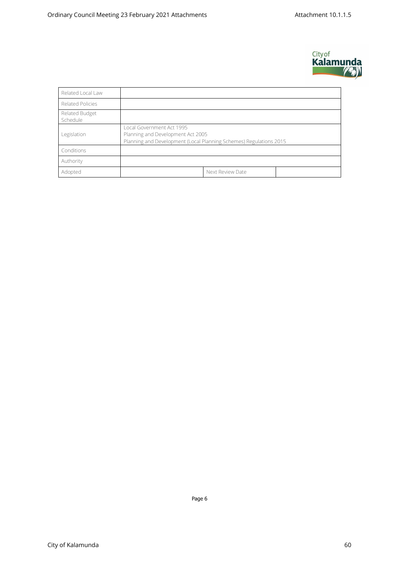

| Related Local Law          |                                                                                                                                      |                  |  |  |  |
|----------------------------|--------------------------------------------------------------------------------------------------------------------------------------|------------------|--|--|--|
| <b>Related Policies</b>    |                                                                                                                                      |                  |  |  |  |
| Related Budget<br>Schedule |                                                                                                                                      |                  |  |  |  |
| Legislation                | Local Government Act 1995<br>Planning and Development Act 2005<br>Planning and Development (Local Planning Schemes) Regulations 2015 |                  |  |  |  |
| Conditions                 |                                                                                                                                      |                  |  |  |  |
| Authority                  |                                                                                                                                      |                  |  |  |  |
| Adopted                    |                                                                                                                                      | Next Review Date |  |  |  |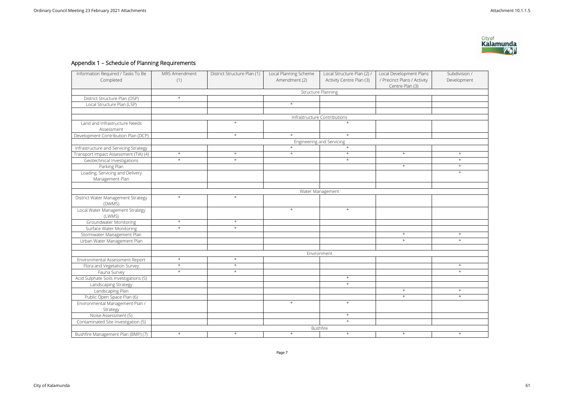# Appendix 1 – Schedule of Planning Requirements

| Information Required / Tasks To Be           | MRS Amendment             | District Structure Plan (1) | Local Planning Scheme | Local Structure Plan (2) /   | Local Development Plans     | Subdivision / |  |
|----------------------------------------------|---------------------------|-----------------------------|-----------------------|------------------------------|-----------------------------|---------------|--|
| Completed                                    | (1)                       |                             | Amendment (2)         | Activity Centre Plan (3)     | / Precinct Plans / Activity | Development   |  |
|                                              |                           |                             |                       |                              | Centre Plan (3)             |               |  |
|                                              | <b>Structure Planning</b> |                             |                       |                              |                             |               |  |
| District Structure Plan (DSP)                | $\star$                   |                             |                       |                              |                             |               |  |
| Local Structure Plan (LSP)                   |                           |                             | $\star$               |                              |                             |               |  |
|                                              |                           |                             |                       |                              |                             |               |  |
|                                              |                           |                             |                       | Infrastructure Contributions |                             |               |  |
| Land and Infrastructure Needs                |                           | $\star$                     |                       | $\star$                      |                             |               |  |
| Assessment                                   |                           |                             |                       |                              |                             |               |  |
| Development Contribution Plan (DCP)          |                           | $\star$                     | $\star$               | $\star$                      |                             |               |  |
|                                              | Engineering and Servicing |                             |                       |                              |                             |               |  |
| Infrastructure and Servicing Strategy        |                           |                             | $\star$               | $\star$                      |                             |               |  |
| Transport Impact Assessment (TIA) (4)        | $\star$                   | $\star$                     | $\star$               | $\star$                      | $\star$                     | $\star$       |  |
| Geotechnical Investigations                  | $\star$                   | $^{\star}$                  |                       | $\star$                      |                             | $\star$       |  |
| Parking Plan                                 |                           |                             |                       |                              | $\star$                     | $\star$       |  |
| Loading, Servicing and Delivery              |                           |                             |                       |                              |                             | $\star$       |  |
| Management Plan                              |                           |                             |                       |                              |                             |               |  |
|                                              |                           |                             |                       |                              |                             |               |  |
|                                              |                           |                             |                       | Water Management             |                             |               |  |
| District Water Management Strategy<br>(DWMS) | $\star$                   | $\star$                     |                       |                              |                             |               |  |
| Local Water Management Strategy              |                           |                             | $\star$               | $\star$                      |                             |               |  |
| (LWMS)                                       |                           |                             |                       |                              |                             |               |  |
| Groundwater Monitoring                       | $\star$                   | $^\star$                    |                       |                              |                             |               |  |
| <b>Surface Water Monitoring</b>              | $\star$                   | $\star$                     |                       |                              |                             |               |  |
| Stormwater Management Plan                   |                           |                             |                       |                              | $\star$                     | $\star$       |  |
| Urban Water Management Plan                  |                           |                             |                       |                              | $\star$                     | $\star$       |  |
|                                              |                           |                             |                       |                              |                             |               |  |
|                                              | Environment               |                             |                       |                              |                             |               |  |
| Environmental Assessment Report              | $\star$                   | $\star$                     |                       |                              |                             |               |  |
| Flora and Vegetation Survey                  | $\star$                   | $\star$                     |                       |                              |                             | $\star$       |  |
| Fauna Survey                                 | $\star$                   | $^\star$                    |                       |                              |                             | $\star$       |  |
| Acid Sulphate Soils Investigations (5)       |                           |                             |                       | $\star$                      |                             |               |  |
| Landscaping Strategy                         |                           |                             |                       | $\star$                      |                             |               |  |
| Landscaping Plan                             |                           |                             |                       |                              | $\star$                     | $\star$       |  |
| Public Open Space Plan (6)                   |                           |                             |                       |                              | $\star$                     | $\star$       |  |
| Environmental Management Plan /              |                           |                             | $\star$               | $\star$                      |                             |               |  |
| Strategy                                     |                           |                             |                       |                              |                             |               |  |
| Noise Assessment (5)                         |                           |                             |                       | $\star$                      |                             |               |  |
| Contaminated Site Investigation (5)          |                           |                             |                       | $\star$                      |                             |               |  |
|                                              | <b>Bushfire</b>           |                             |                       |                              |                             |               |  |
| Bushfire Management Plan (BMP) (7)           | $\star$                   | $\star$                     | $\star$               | $\star$                      | $\star$                     | $\star$       |  |